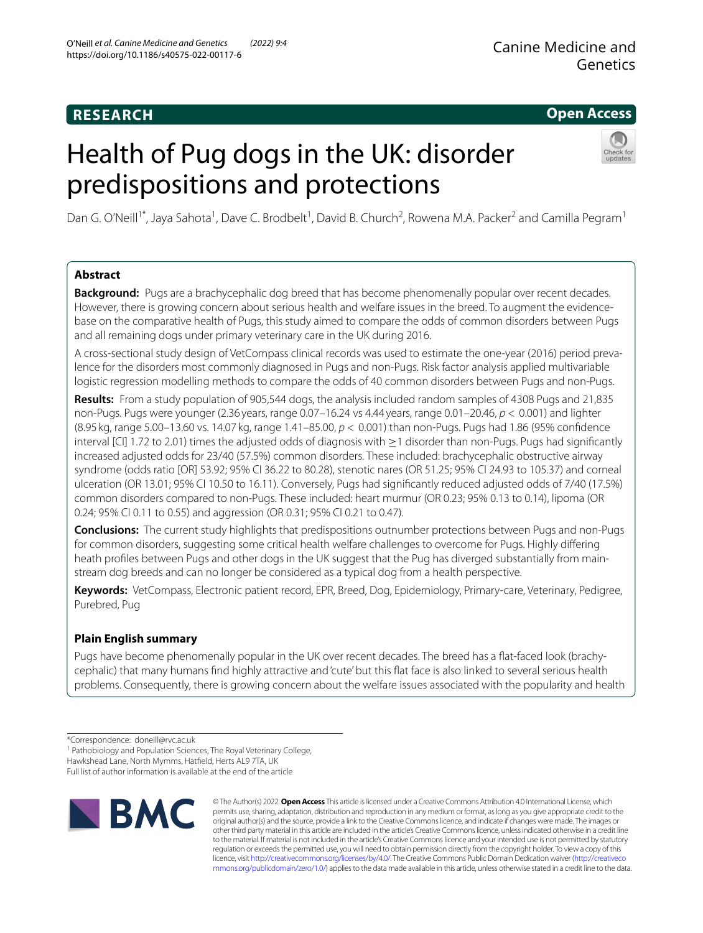# **RESEARCH**

# **Open Access**

# Health of Pug dogs in the UK: disorder predispositions and protections



Dan G. O'Neill<sup>1\*</sup>, Jaya Sahota<sup>1</sup>, Dave C. Brodbelt<sup>1</sup>, David B. Church<sup>2</sup>, Rowena M.A. Packer<sup>2</sup> and Camilla Pegram<sup>1</sup>

# **Abstract**

**Background:** Pugs are a brachycephalic dog breed that has become phenomenally popular over recent decades. However, there is growing concern about serious health and welfare issues in the breed. To augment the evidencebase on the comparative health of Pugs, this study aimed to compare the odds of common disorders between Pugs and all remaining dogs under primary veterinary care in the UK during 2016.

A cross-sectional study design of VetCompass clinical records was used to estimate the one-year (2016) period prevalence for the disorders most commonly diagnosed in Pugs and non-Pugs. Risk factor analysis applied multivariable logistic regression modelling methods to compare the odds of 40 common disorders between Pugs and non-Pugs.

**Results:** From a study population of 905,544 dogs, the analysis included random samples of 4308 Pugs and 21,835 non-Pugs. Pugs were younger (2.36 years, range 0.07–16.24 vs 4.44 years, range 0.01–20.46, *p* < 0.001) and lighter (8.95 kg, range 5.00–13.60 vs. 14.07 kg, range 1.41–85.00, *p* < 0.001) than non-Pugs. Pugs had 1.86 (95% confdence interval [CI] 1.72 to 2.01) times the adjusted odds of diagnosis with ≥1 disorder than non-Pugs. Pugs had signifcantly increased adjusted odds for 23/40 (57.5%) common disorders. These included: brachycephalic obstructive airway syndrome (odds ratio [OR] 53.92; 95% CI 36.22 to 80.28), stenotic nares (OR 51.25; 95% CI 24.93 to 105.37) and corneal ulceration (OR 13.01; 95% CI 10.50 to 16.11). Conversely, Pugs had signifcantly reduced adjusted odds of 7/40 (17.5%) common disorders compared to non-Pugs. These included: heart murmur (OR 0.23; 95% 0.13 to 0.14), lipoma (OR 0.24; 95% CI 0.11 to 0.55) and aggression (OR 0.31; 95% CI 0.21 to 0.47).

**Conclusions:** The current study highlights that predispositions outnumber protections between Pugs and non-Pugs for common disorders, suggesting some critical health welfare challenges to overcome for Pugs. Highly difering heath profles between Pugs and other dogs in the UK suggest that the Pug has diverged substantially from mainstream dog breeds and can no longer be considered as a typical dog from a health perspective.

**Keywords:** VetCompass, Electronic patient record, EPR, Breed, Dog, Epidemiology, Primary-care, Veterinary, Pedigree, Purebred, Pug

# **Plain English summary**

Pugs have become phenomenally popular in the UK over recent decades. The breed has a fat-faced look (brachycephalic) that many humans fnd highly attractive and 'cute' but this fat face is also linked to several serious health problems. Consequently, there is growing concern about the welfare issues associated with the popularity and health

<sup>1</sup> Pathobiology and Population Sciences, The Royal Veterinary College,

Hawkshead Lane, North Mymms, Hatfeld, Herts AL9 7TA, UK

Full list of author information is available at the end of the article



© The Author(s) 2022. **Open Access** This article is licensed under a Creative Commons Attribution 4.0 International License, which permits use, sharing, adaptation, distribution and reproduction in any medium or format, as long as you give appropriate credit to the original author(s) and the source, provide a link to the Creative Commons licence, and indicate if changes were made. The images or other third party material in this article are included in the article's Creative Commons licence, unless indicated otherwise in a credit line to the material. If material is not included in the article's Creative Commons licence and your intended use is not permitted by statutory regulation or exceeds the permitted use, you will need to obtain permission directly from the copyright holder. To view a copy of this licence, visit [http://creativecommons.org/licenses/by/4.0/.](http://creativecommons.org/licenses/by/4.0/) The Creative Commons Public Domain Dedication waiver ([http://creativeco](http://creativecommons.org/publicdomain/zero/1.0/) [mmons.org/publicdomain/zero/1.0/](http://creativecommons.org/publicdomain/zero/1.0/)) applies to the data made available in this article, unless otherwise stated in a credit line to the data.

<sup>\*</sup>Correspondence: doneill@rvc.ac.uk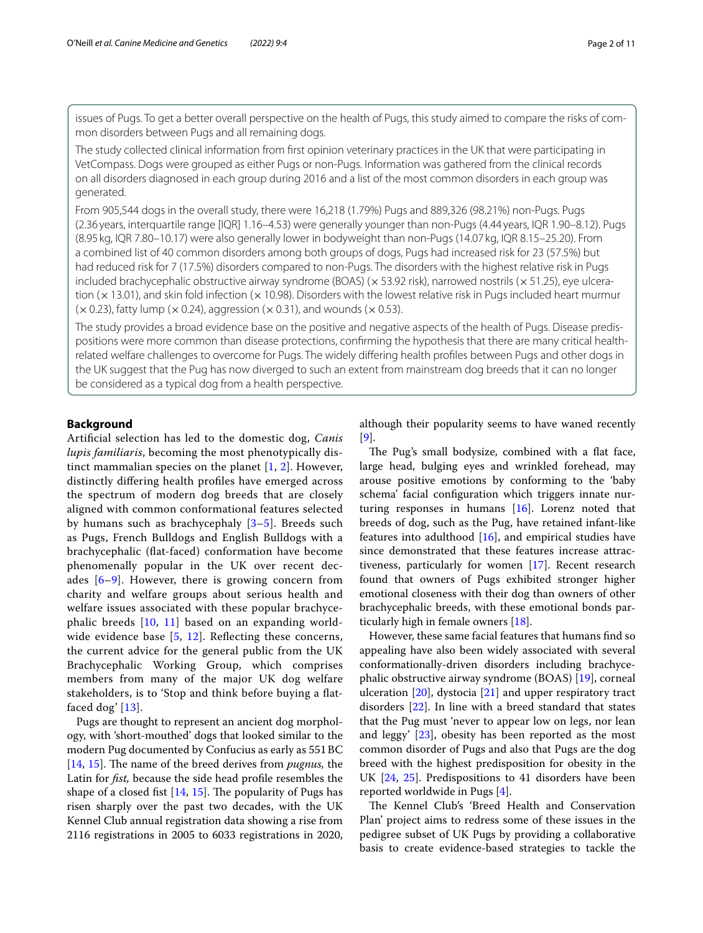issues of Pugs. To get a better overall perspective on the health of Pugs, this study aimed to compare the risks of common disorders between Pugs and all remaining dogs.

The study collected clinical information from frst opinion veterinary practices in the UK that were participating in VetCompass. Dogs were grouped as either Pugs or non-Pugs. Information was gathered from the clinical records on all disorders diagnosed in each group during 2016 and a list of the most common disorders in each group was generated.

From 905,544 dogs in the overall study, there were 16,218 (1.79%) Pugs and 889,326 (98.21%) non-Pugs. Pugs (2.36 years, interquartile range [IQR] 1.16–4.53) were generally younger than non-Pugs (4.44 years, IQR 1.90–8.12). Pugs (8.95 kg, IQR 7.80–10.17) were also generally lower in bodyweight than non-Pugs (14.07 kg, IQR 8.15–25.20). From a combined list of 40 common disorders among both groups of dogs, Pugs had increased risk for 23 (57.5%) but had reduced risk for 7 (17.5%) disorders compared to non-Pugs. The disorders with the highest relative risk in Pugs included brachycephalic obstructive airway syndrome (BOAS) ( $\times$  53.92 risk), narrowed nostrils ( $\times$  51.25), eye ulceration  $(x13.01)$ , and skin fold infection  $(x10.98)$ . Disorders with the lowest relative risk in Pugs included heart murmur  $(x 0.23)$ , fatty lump  $(x 0.24)$ , aggression  $(x 0.31)$ , and wounds  $(x 0.53)$ .

The study provides a broad evidence base on the positive and negative aspects of the health of Pugs. Disease predispositions were more common than disease protections, confrming the hypothesis that there are many critical healthrelated welfare challenges to overcome for Pugs. The widely difering health profles between Pugs and other dogs in the UK suggest that the Pug has now diverged to such an extent from mainstream dog breeds that it can no longer be considered as a typical dog from a health perspective.

## **Background**

Artifcial selection has led to the domestic dog, *Canis lupis familiaris*, becoming the most phenotypically distinct mammalian species on the planet [\[1](#page-9-0), [2\]](#page-9-1). However, distinctly difering health profles have emerged across the spectrum of modern dog breeds that are closely aligned with common conformational features selected by humans such as brachycephaly [\[3](#page-9-2)–[5\]](#page-9-3). Breeds such as Pugs, French Bulldogs and English Bulldogs with a brachycephalic (fat-faced) conformation have become phenomenally popular in the UK over recent decades  $[6-9]$  $[6-9]$ . However, there is growing concern from charity and welfare groups about serious health and welfare issues associated with these popular brachycephalic breeds [[10](#page-9-6), [11](#page-9-7)] based on an expanding world-wide evidence base [[5](#page-9-3), [12\]](#page-9-8). Reflecting these concerns, the current advice for the general public from the UK Brachycephalic Working Group, which comprises members from many of the major UK dog welfare stakeholders, is to 'Stop and think before buying a fatfaced dog' [\[13](#page-9-9)].

Pugs are thought to represent an ancient dog morphology, with 'short-mouthed' dogs that looked similar to the modern Pug documented by Confucius as early as 551BC [[14,](#page-9-10) [15\]](#page-9-11). The name of the breed derives from *pugnus*, the Latin for *fst,* because the side head profle resembles the shape of a closed fist  $[14, 15]$  $[14, 15]$  $[14, 15]$  $[14, 15]$  $[14, 15]$ . The popularity of Pugs has risen sharply over the past two decades, with the UK Kennel Club annual registration data showing a rise from 2116 registrations in 2005 to 6033 registrations in 2020, although their popularity seems to have waned recently [[9\]](#page-9-5).

The Pug's small bodysize, combined with a flat face, large head, bulging eyes and wrinkled forehead, may arouse positive emotions by conforming to the 'baby schema' facial confguration which triggers innate nurturing responses in humans [\[16](#page-9-12)]. Lorenz noted that breeds of dog, such as the Pug, have retained infant-like features into adulthood  $[16]$  $[16]$ , and empirical studies have since demonstrated that these features increase attractiveness, particularly for women [\[17\]](#page-9-13). Recent research found that owners of Pugs exhibited stronger higher emotional closeness with their dog than owners of other brachycephalic breeds, with these emotional bonds particularly high in female owners [[18\]](#page-9-14).

However, these same facial features that humans fnd so appealing have also been widely associated with several conformationally-driven disorders including brachycephalic obstructive airway syndrome (BOAS) [[19](#page-9-15)], corneal ulceration  $[20]$ , dystocia  $[21]$  $[21]$  and upper respiratory tract disorders [\[22](#page-9-18)]. In line with a breed standard that states that the Pug must 'never to appear low on legs, nor lean and leggy' [[23\]](#page-9-19), obesity has been reported as the most common disorder of Pugs and also that Pugs are the dog breed with the highest predisposition for obesity in the UK [[24,](#page-9-20) [25\]](#page-9-21). Predispositions to 41 disorders have been reported worldwide in Pugs [\[4](#page-9-22)].

The Kennel Club's 'Breed Health and Conservation Plan' project aims to redress some of these issues in the pedigree subset of UK Pugs by providing a collaborative basis to create evidence-based strategies to tackle the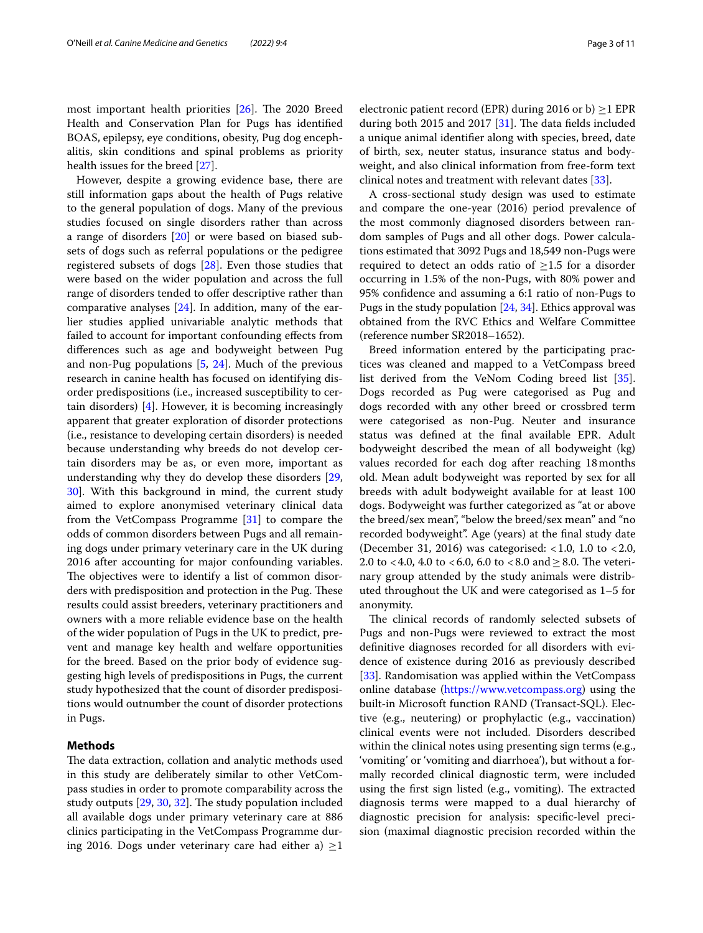most important health priorities  $[26]$  $[26]$ . The 2020 Breed Health and Conservation Plan for Pugs has identifed BOAS, epilepsy, eye conditions, obesity, Pug dog encephalitis, skin conditions and spinal problems as priority health issues for the breed [[27\]](#page-9-24).

However, despite a growing evidence base, there are still information gaps about the health of Pugs relative to the general population of dogs. Many of the previous studies focused on single disorders rather than across a range of disorders [\[20](#page-9-16)] or were based on biased subsets of dogs such as referral populations or the pedigree registered subsets of dogs [\[28\]](#page-9-25). Even those studies that were based on the wider population and across the full range of disorders tended to offer descriptive rather than comparative analyses [[24](#page-9-20)]. In addition, many of the earlier studies applied univariable analytic methods that failed to account for important confounding efects from diferences such as age and bodyweight between Pug and non-Pug populations [[5,](#page-9-3) [24](#page-9-20)]. Much of the previous research in canine health has focused on identifying disorder predispositions (i.e., increased susceptibility to certain disorders) [\[4](#page-9-22)]. However, it is becoming increasingly apparent that greater exploration of disorder protections (i.e., resistance to developing certain disorders) is needed because understanding why breeds do not develop certain disorders may be as, or even more, important as understanding why they do develop these disorders [\[29](#page-9-26), [30\]](#page-9-27). With this background in mind, the current study aimed to explore anonymised veterinary clinical data from the VetCompass Programme [[31](#page-9-28)] to compare the odds of common disorders between Pugs and all remaining dogs under primary veterinary care in the UK during 2016 after accounting for major confounding variables. The objectives were to identify a list of common disorders with predisposition and protection in the Pug. These results could assist breeders, veterinary practitioners and owners with a more reliable evidence base on the health of the wider population of Pugs in the UK to predict, prevent and manage key health and welfare opportunities for the breed. Based on the prior body of evidence suggesting high levels of predispositions in Pugs, the current study hypothesized that the count of disorder predispositions would outnumber the count of disorder protections in Pugs.

# **Methods**

The data extraction, collation and analytic methods used in this study are deliberately similar to other VetCompass studies in order to promote comparability across the study outputs [\[29](#page-9-26), [30,](#page-9-27) [32](#page-9-29)]. The study population included all available dogs under primary veterinary care at 886 clinics participating in the VetCompass Programme during 2016. Dogs under veterinary care had either a)  $\geq$ 1

during both 2015 and 2017  $[31]$  $[31]$ . The data fields included a unique animal identifer along with species, breed, date of birth, sex, neuter status, insurance status and bodyweight, and also clinical information from free-form text clinical notes and treatment with relevant dates [\[33](#page-10-0)].

A cross-sectional study design was used to estimate and compare the one-year (2016) period prevalence of the most commonly diagnosed disorders between random samples of Pugs and all other dogs. Power calculations estimated that 3092 Pugs and 18,549 non-Pugs were required to detect an odds ratio of  $\geq$ 1.5 for a disorder occurring in 1.5% of the non-Pugs, with 80% power and 95% confdence and assuming a 6:1 ratio of non-Pugs to Pugs in the study population [\[24](#page-9-20), [34\]](#page-10-1). Ethics approval was obtained from the RVC Ethics and Welfare Committee (reference number SR2018–1652).

Breed information entered by the participating practices was cleaned and mapped to a VetCompass breed list derived from the VeNom Coding breed list [\[35](#page-10-2)]. Dogs recorded as Pug were categorised as Pug and dogs recorded with any other breed or crossbred term were categorised as non-Pug. Neuter and insurance status was defned at the fnal available EPR. Adult bodyweight described the mean of all bodyweight (kg) values recorded for each dog after reaching 18months old. Mean adult bodyweight was reported by sex for all breeds with adult bodyweight available for at least 100 dogs. Bodyweight was further categorized as "at or above the breed/sex mean", "below the breed/sex mean" and "no recorded bodyweight". Age (years) at the fnal study date (December 31, 2016) was categorised:  $< 1.0$ , 1.0 to  $< 2.0$ , 2.0 to <4.0, 4.0 to <6.0, 6.0 to <8.0 and  $\geq$ 8.0. The veterinary group attended by the study animals were distributed throughout the UK and were categorised as 1–5 for anonymity.

The clinical records of randomly selected subsets of Pugs and non-Pugs were reviewed to extract the most defnitive diagnoses recorded for all disorders with evidence of existence during 2016 as previously described [[33\]](#page-10-0). Randomisation was applied within the VetCompass online database [\(https://www.vetcompass.org](https://www.vetcompass.org)) using the built-in Microsoft function RAND (Transact-SQL). Elective (e.g., neutering) or prophylactic (e.g., vaccination) clinical events were not included. Disorders described within the clinical notes using presenting sign terms (e.g., 'vomiting' or 'vomiting and diarrhoea'), but without a formally recorded clinical diagnostic term, were included using the first sign listed (e.g., vomiting). The extracted diagnosis terms were mapped to a dual hierarchy of diagnostic precision for analysis: specifc-level precision (maximal diagnostic precision recorded within the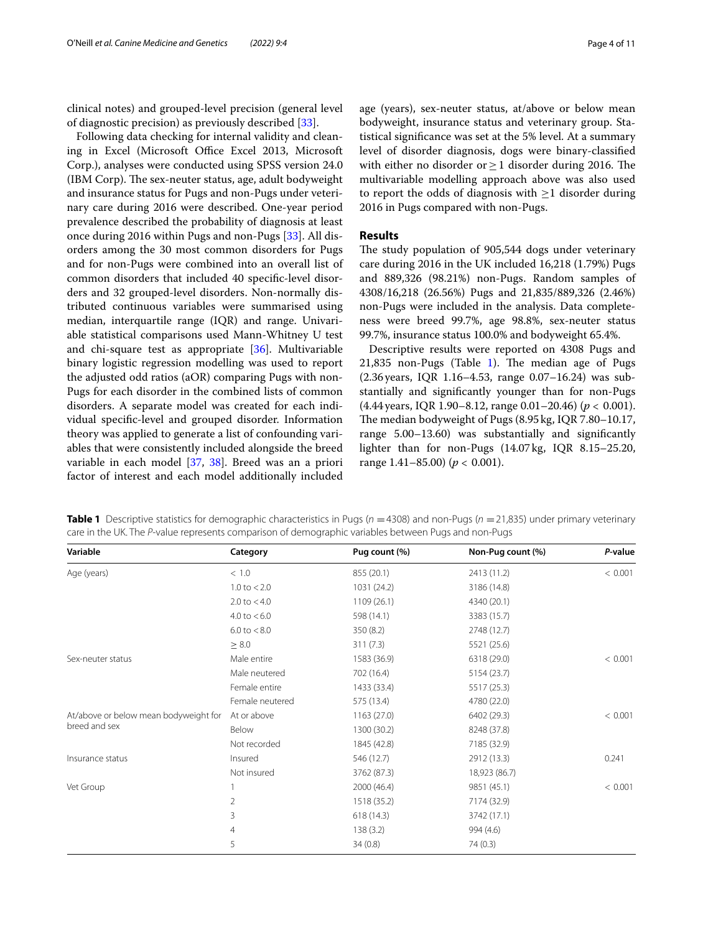clinical notes) and grouped-level precision (general level of diagnostic precision) as previously described [\[33\]](#page-10-0).

Following data checking for internal validity and cleaning in Excel (Microsoft Office Excel 2013, Microsoft Corp.), analyses were conducted using SPSS version 24.0 (IBM Corp). The sex-neuter status, age, adult bodyweight and insurance status for Pugs and non-Pugs under veterinary care during 2016 were described. One-year period prevalence described the probability of diagnosis at least once during 2016 within Pugs and non-Pugs [[33\]](#page-10-0). All disorders among the 30 most common disorders for Pugs and for non-Pugs were combined into an overall list of common disorders that included 40 specifc-level disorders and 32 grouped-level disorders. Non-normally distributed continuous variables were summarised using median, interquartile range (IQR) and range. Univariable statistical comparisons used Mann-Whitney U test and chi-square test as appropriate [\[36\]](#page-10-3). Multivariable binary logistic regression modelling was used to report the adjusted odd ratios (aOR) comparing Pugs with non-Pugs for each disorder in the combined lists of common disorders. A separate model was created for each individual specifc-level and grouped disorder. Information theory was applied to generate a list of confounding variables that were consistently included alongside the breed variable in each model [\[37](#page-10-4), [38](#page-10-5)]. Breed was an a priori factor of interest and each model additionally included age (years), sex-neuter status, at/above or below mean bodyweight, insurance status and veterinary group. Statistical signifcance was set at the 5% level. At a summary level of disorder diagnosis, dogs were binary-classifed with either no disorder or  $\geq$  1 disorder during 2016. The multivariable modelling approach above was also used to report the odds of diagnosis with  $\geq$ 1 disorder during 2016 in Pugs compared with non-Pugs.

## **Results**

The study population of 905,544 dogs under veterinary care during 2016 in the UK included 16,218 (1.79%) Pugs and 889,326 (98.21%) non-Pugs. Random samples of 4308/16,218 (26.56%) Pugs and 21,835/889,326 (2.46%) non-Pugs were included in the analysis. Data completeness were breed 99.7%, age 98.8%, sex-neuter status 99.7%, insurance status 100.0% and bodyweight 65.4%.

Descriptive results were reported on 4308 Pugs and 21,835 non-Pugs (Table [1\)](#page-3-0). The median age of Pugs (2.36years, IQR 1.16–4.53, range 0.07–16.24) was substantially and signifcantly younger than for non-Pugs (4.44years, IQR 1.90–8.12, range 0.01–20.46) (*p* < 0.001). The median bodyweight of Pugs (8.95 kg, IQR 7.80-10.17, range 5.00–13.60) was substantially and signifcantly lighter than for non-Pugs (14.07kg, IQR 8.15–25.20, range 1.41–85.00) (*p* < 0.001).

| Variable                                               | Category                | Pug count (%) | Non-Pug count (%) | P-value |
|--------------------------------------------------------|-------------------------|---------------|-------------------|---------|
| Age (years)                                            | < 1.0                   | 855 (20.1)    | 2413 (11.2)       | < 0.001 |
|                                                        | $1.0 \text{ to } 2.0$   | 1031 (24.2)   | 3186 (14.8)       |         |
|                                                        | $2.0 \text{ to } 4.0$   | 1109 (26.1)   | 4340 (20.1)       |         |
|                                                        | $4.0 \text{ to } < 6.0$ | 598 (14.1)    | 3383 (15.7)       |         |
|                                                        | $6.0 \text{ to } < 8.0$ | 350 (8.2)     | 2748 (12.7)       |         |
|                                                        | $\geq 8.0$              | 311(7.3)      | 5521 (25.6)       |         |
| Sex-neuter status                                      | Male entire             | 1583 (36.9)   | 6318 (29.0)       | < 0.001 |
|                                                        | Male neutered           | 702 (16.4)    | 5154 (23.7)       |         |
|                                                        | Female entire           | 1433 (33.4)   | 5517 (25.3)       |         |
|                                                        | Female neutered         | 575 (13.4)    | 4780 (22.0)       |         |
| At/above or below mean bodyweight for<br>breed and sex | At or above             | 1163(27.0)    | 6402 (29.3)       | < 0.001 |
|                                                        | Below                   | 1300 (30.2)   | 8248 (37.8)       |         |
|                                                        | Not recorded            | 1845 (42.8)   | 7185 (32.9)       |         |
| Insurance status                                       | Insured                 | 546 (12.7)    | 2912 (13.3)       | 0.241   |
|                                                        | Not insured             | 3762 (87.3)   | 18,923 (86.7)     |         |
| Vet Group                                              |                         | 2000 (46.4)   | 9851 (45.1)       | < 0.001 |
|                                                        | 2                       | 1518 (35.2)   | 7174 (32.9)       |         |
|                                                        | 3                       | 618 (14.3)    | 3742 (17.1)       |         |
|                                                        | 4                       | 138(3.2)      | 994 (4.6)         |         |
|                                                        | 5                       | 34(0.8)       | 74(0.3)           |         |
|                                                        |                         |               |                   |         |

<span id="page-3-0"></span>**Table 1** Descriptive statistics for demographic characteristics in Pugs ( $n = 4308$ ) and non-Pugs ( $n = 21,835$ ) under primary veterinary care in the UK. The *P*-value represents comparison of demographic variables between Pugs and non-Pugs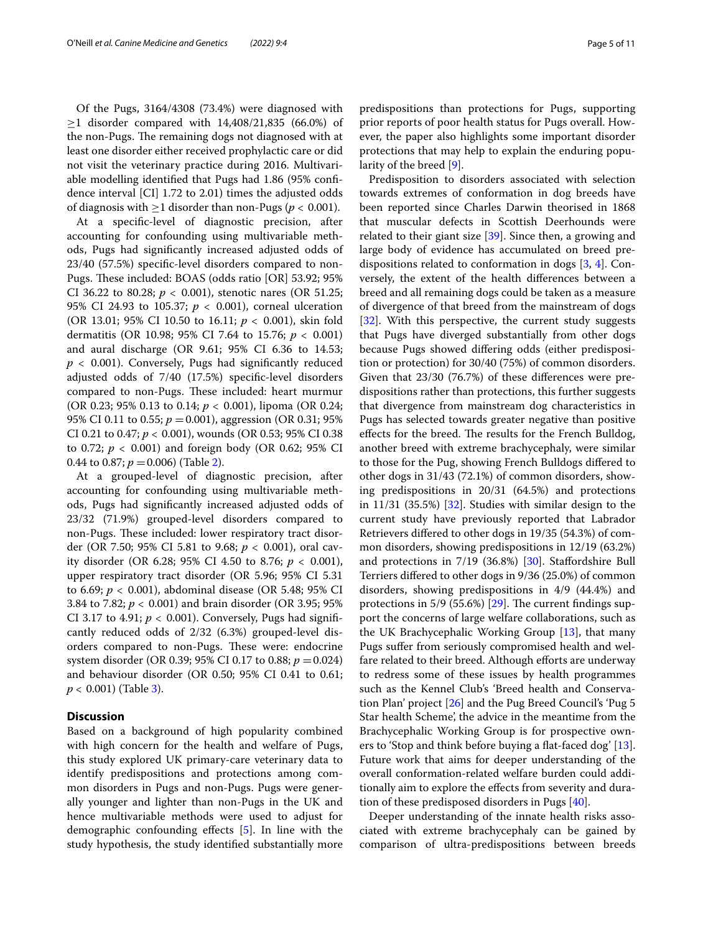Of the Pugs, 3164/4308 (73.4%) were diagnosed with  $≥1$  disorder compared with 14,408/21,835 (66.0%) of the non-Pugs. The remaining dogs not diagnosed with at least one disorder either received prophylactic care or did not visit the veterinary practice during 2016. Multivariable modelling identifed that Pugs had 1.86 (95% confdence interval [CI] 1.72 to 2.01) times the adjusted odds of diagnosis with  $>1$  disorder than non-Pugs ( $p < 0.001$ ).

At a specifc-level of diagnostic precision, after accounting for confounding using multivariable methods, Pugs had signifcantly increased adjusted odds of 23/40 (57.5%) specifc-level disorders compared to non-Pugs. These included: BOAS (odds ratio [OR] 53.92; 95% CI 36.22 to 80.28;  $p < 0.001$ ), stenotic nares (OR 51.25; 95% CI 24.93 to 105.37;  $p < 0.001$ ), corneal ulceration (OR 13.01; 95% CI 10.50 to 16.11;  $p < 0.001$ ), skin fold dermatitis (OR 10.98; 95% CI 7.64 to 15.76; *p* < 0.001) and aural discharge (OR 9.61; 95% CI 6.36 to 14.53;  $p < 0.001$ ). Conversely, Pugs had significantly reduced adjusted odds of 7/40 (17.5%) specifc-level disorders compared to non-Pugs. These included: heart murmur (OR 0.23; 95% 0.13 to 0.14; *p* < 0.001), lipoma (OR 0.24; 95% CI 0.11 to 0.55; *p* =0.001), aggression (OR 0.31; 95% CI 0.21 to 0.47; *p* < 0.001), wounds (OR 0.53; 95% CI 0.38 to 0.72;  $p < 0.001$ ) and foreign body (OR 0.62; 95% CI 0.44 to 0.87;  $p = 0.006$ ) (Table [2\)](#page-5-0).

At a grouped-level of diagnostic precision, after accounting for confounding using multivariable methods, Pugs had signifcantly increased adjusted odds of 23/32 (71.9%) grouped-level disorders compared to non-Pugs. These included: lower respiratory tract disorder (OR 7.50; 95% CI 5.81 to 9.68; *p* < 0.001), oral cavity disorder (OR 6.28; 95% CI 4.50 to 8.76;  $p < 0.001$ ), upper respiratory tract disorder (OR 5.96; 95% CI 5.31 to 6.69; *p* < 0.001), abdominal disease (OR 5.48; 95% CI 3.84 to 7.82; *p* < 0.001) and brain disorder (OR 3.95; 95% CI 3.17 to 4.91;  $p < 0.001$ ). Conversely, Pugs had significantly reduced odds of 2/32 (6.3%) grouped-level disorders compared to non-Pugs. These were: endocrine system disorder (OR 0.39; 95% CI 0.17 to 0.88; *p* =0.024) and behaviour disorder (OR 0.50; 95% CI 0.41 to 0.61; *p* < 0.001) (Table [3](#page-6-0)).

#### **Discussion**

Based on a background of high popularity combined with high concern for the health and welfare of Pugs, this study explored UK primary-care veterinary data to identify predispositions and protections among common disorders in Pugs and non-Pugs. Pugs were generally younger and lighter than non-Pugs in the UK and hence multivariable methods were used to adjust for demographic confounding efects [\[5](#page-9-3)]. In line with the study hypothesis, the study identifed substantially more predispositions than protections for Pugs, supporting prior reports of poor health status for Pugs overall. However, the paper also highlights some important disorder protections that may help to explain the enduring popularity of the breed [[9\]](#page-9-5).

Predisposition to disorders associated with selection towards extremes of conformation in dog breeds have been reported since Charles Darwin theorised in 1868 that muscular defects in Scottish Deerhounds were related to their giant size [[39](#page-10-6)]. Since then, a growing and large body of evidence has accumulated on breed predispositions related to conformation in dogs [\[3](#page-9-2), [4](#page-9-22)]. Conversely, the extent of the health diferences between a breed and all remaining dogs could be taken as a measure of divergence of that breed from the mainstream of dogs [[32\]](#page-9-29). With this perspective, the current study suggests that Pugs have diverged substantially from other dogs because Pugs showed difering odds (either predisposition or protection) for 30/40 (75%) of common disorders. Given that 23/30 (76.7%) of these diferences were predispositions rather than protections, this further suggests that divergence from mainstream dog characteristics in Pugs has selected towards greater negative than positive effects for the breed. The results for the French Bulldog, another breed with extreme brachycephaly, were similar to those for the Pug, showing French Bulldogs difered to other dogs in 31/43 (72.1%) of common disorders, showing predispositions in 20/31 (64.5%) and protections in 11/31 (35.5%) [\[32](#page-9-29)]. Studies with similar design to the current study have previously reported that Labrador Retrievers difered to other dogs in 19/35 (54.3%) of common disorders, showing predispositions in 12/19 (63.2%) and protections in 7/19 (36.8%) [\[30](#page-9-27)]. Stafordshire Bull Terriers difered to other dogs in 9/36 (25.0%) of common disorders, showing predispositions in 4/9 (44.4%) and protections in 5/9 (55.6%) [ $29$ ]. The current findings support the concerns of large welfare collaborations, such as the UK Brachycephalic Working Group [\[13](#page-9-9)], that many Pugs sufer from seriously compromised health and welfare related to their breed. Although efforts are underway to redress some of these issues by health programmes such as the Kennel Club's 'Breed health and Conservation Plan' project [\[26](#page-9-23)] and the Pug Breed Council's 'Pug 5 Star health Scheme', the advice in the meantime from the Brachycephalic Working Group is for prospective owners to 'Stop and think before buying a fat-faced dog' [\[13](#page-9-9)]. Future work that aims for deeper understanding of the overall conformation-related welfare burden could additionally aim to explore the efects from severity and duration of these predisposed disorders in Pugs [\[40](#page-10-7)].

Deeper understanding of the innate health risks associated with extreme brachycephaly can be gained by comparison of ultra-predispositions between breeds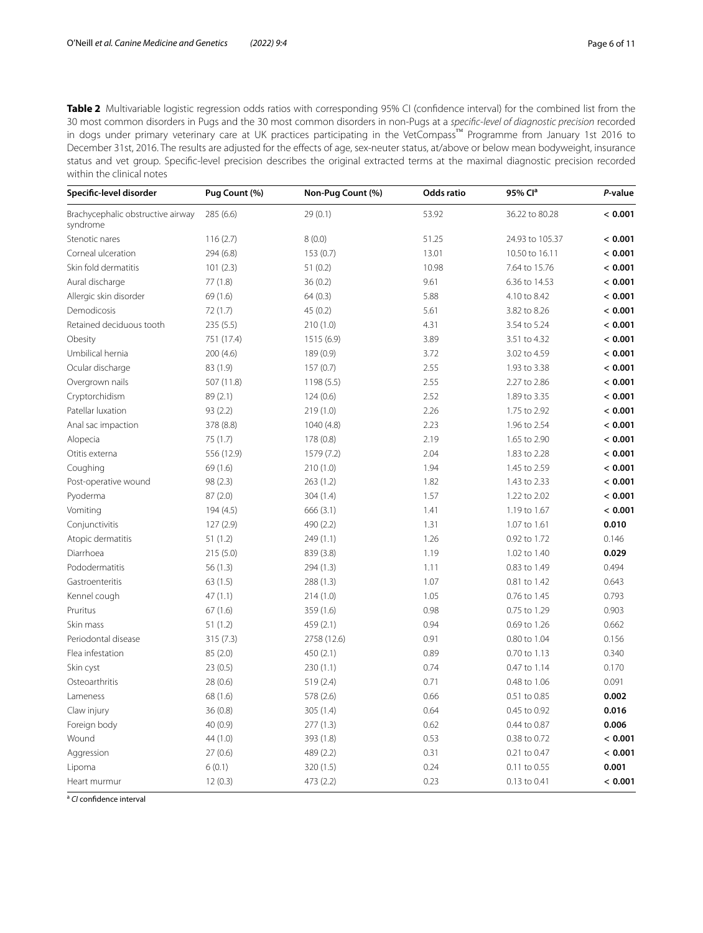<span id="page-5-0"></span>**Table 2** Multivariable logistic regression odds ratios with corresponding 95% CI (confdence interval) for the combined list from the 30 most common disorders in Pugs and the 30 most common disorders in non-Pugs at a *specifc-level of diagnostic precision* recorded in dogs under primary veterinary care at UK practices participating in the VetCompass™ Programme from January 1st 2016 to December 31st, 2016. The results are adjusted for the effects of age, sex-neuter status, at/above or below mean bodyweight, insurance status and vet group. Specifc-level precision describes the original extracted terms at the maximal diagnostic precision recorded within the clinical notes

| Specific-level disorder                       | Pug Count (%) | Non-Pug Count (%) | Odds ratio | 95% Clª         | P-value |
|-----------------------------------------------|---------------|-------------------|------------|-----------------|---------|
| Brachycephalic obstructive airway<br>syndrome | 285 (6.6)     | 29(0.1)           | 53.92      | 36.22 to 80.28  | < 0.001 |
| Stenotic nares                                | 116(2.7)      | 8(0.0)            | 51.25      | 24.93 to 105.37 | < 0.001 |
| Corneal ulceration                            | 294 (6.8)     | 153(0.7)          | 13.01      | 10.50 to 16.11  | < 0.001 |
| Skin fold dermatitis                          | 101(2.3)      | 51(0.2)           | 10.98      | 7.64 to 15.76   | < 0.001 |
| Aural discharge                               | 77(1.8)       | 36(0.2)           | 9.61       | 6.36 to 14.53   | < 0.001 |
| Allergic skin disorder                        | 69 (1.6)      | 64(0.3)           | 5.88       | 4.10 to 8.42    | < 0.001 |
| Demodicosis                                   | 72(1.7)       | 45(0.2)           | 5.61       | 3.82 to 8.26    | < 0.001 |
| Retained deciduous tooth                      | 235(5.5)      | 210(1.0)          | 4.31       | 3.54 to 5.24    | < 0.001 |
| Obesity                                       | 751 (17.4)    | 1515 (6.9)        | 3.89       | 3.51 to 4.32    | < 0.001 |
| Umbilical hernia                              | 200(4.6)      | 189 (0.9)         | 3.72       | 3.02 to 4.59    | < 0.001 |
| Ocular discharge                              | 83 (1.9)      | 157(0.7)          | 2.55       | 1.93 to 3.38    | < 0.001 |
| Overgrown nails                               | 507 (11.8)    | 1198 (5.5)        | 2.55       | 2.27 to 2.86    | < 0.001 |
| Cryptorchidism                                | 89 (2.1)      | 124(0.6)          | 2.52       | 1.89 to 3.35    | < 0.001 |
| Patellar luxation                             | 93(2.2)       | 219 (1.0)         | 2.26       | 1.75 to 2.92    | < 0.001 |
| Anal sac impaction                            | 378 (8.8)     | 1040 (4.8)        | 2.23       | 1.96 to 2.54    | < 0.001 |
| Alopecia                                      | 75 (1.7)      | 178 (0.8)         | 2.19       | 1.65 to 2.90    | < 0.001 |
| Otitis externa                                | 556 (12.9)    | 1579 (7.2)        | 2.04       | 1.83 to 2.28    | < 0.001 |
| Coughing                                      | 69(1.6)       | 210(1.0)          | 1.94       | 1.45 to 2.59    | < 0.001 |
| Post-operative wound                          | 98(2.3)       | 263 (1.2)         | 1.82       | 1.43 to 2.33    | < 0.001 |
| Pyoderma                                      | 87(2.0)       | 304 (1.4)         | 1.57       | 1.22 to 2.02    | < 0.001 |
| Vomiting                                      | 194 (4.5)     | 666(3.1)          | 1.41       | 1.19 to 1.67    | < 0.001 |
| Conjunctivitis                                | 127(2.9)      | 490 (2.2)         | 1.31       | 1.07 to 1.61    | 0.010   |
| Atopic dermatitis                             | 51(1.2)       | 249 (1.1)         | 1.26       | 0.92 to 1.72    | 0.146   |
| Diarrhoea                                     | 215(5.0)      | 839 (3.8)         | 1.19       | 1.02 to 1.40    | 0.029   |
| Pododermatitis                                | 56(1.3)       | 294 (1.3)         | 1.11       | 0.83 to 1.49    | 0.494   |
| Gastroenteritis                               | 63(1.5)       | 288 (1.3)         | 1.07       | 0.81 to 1.42    | 0.643   |
| Kennel cough                                  | 47(1.1)       | 214 (1.0)         | 1.05       | 0.76 to 1.45    | 0.793   |
| Pruritus                                      | 67(1.6)       | 359 (1.6)         | 0.98       | 0.75 to 1.29    | 0.903   |
| Skin mass                                     | 51(1.2)       | 459 (2.1)         | 0.94       | 0.69 to 1.26    | 0.662   |
| Periodontal disease                           | 315(7.3)      | 2758 (12.6)       | 0.91       | 0.80 to 1.04    | 0.156   |
| Flea infestation                              | 85(2.0)       | 450(2.1)          | 0.89       | 0.70 to 1.13    | 0.340   |
| Skin cyst                                     | 23(0.5)       | 230(1.1)          | 0.74       | 0.47 to 1.14    | 0.170   |
| Osteoarthritis                                | 28(0.6)       | 519 (2.4)         | 0.71       | 0.48 to 1.06    | 0.091   |
| Lameness                                      | 68 (1.6)      | 578 (2.6)         | 0.66       | 0.51 to 0.85    | 0.002   |
| Claw injury                                   | 36(0.8)       | 305 (1.4)         | 0.64       | 0.45 to 0.92    | 0.016   |
| Foreign body                                  | 40 (0.9)      | 277 (1.3)         | 0.62       | 0.44 to 0.87    | 0.006   |
| Wound                                         | 44 (1.0)      | 393 (1.8)         | 0.53       | 0.38 to 0.72    | < 0.001 |
| Aggression                                    | 27(0.6)       | 489 (2.2)         | 0.31       | 0.21 to 0.47    | < 0.001 |
| Lipoma                                        | 6(0.1)        | 320 (1.5)         | 0.24       | 0.11 to 0.55    | 0.001   |
| Heart murmur                                  | 12(0.3)       | 473 (2.2)         | 0.23       | 0.13 to 0.41    | < 0.001 |

<sup>a</sup> *CI* confidence interval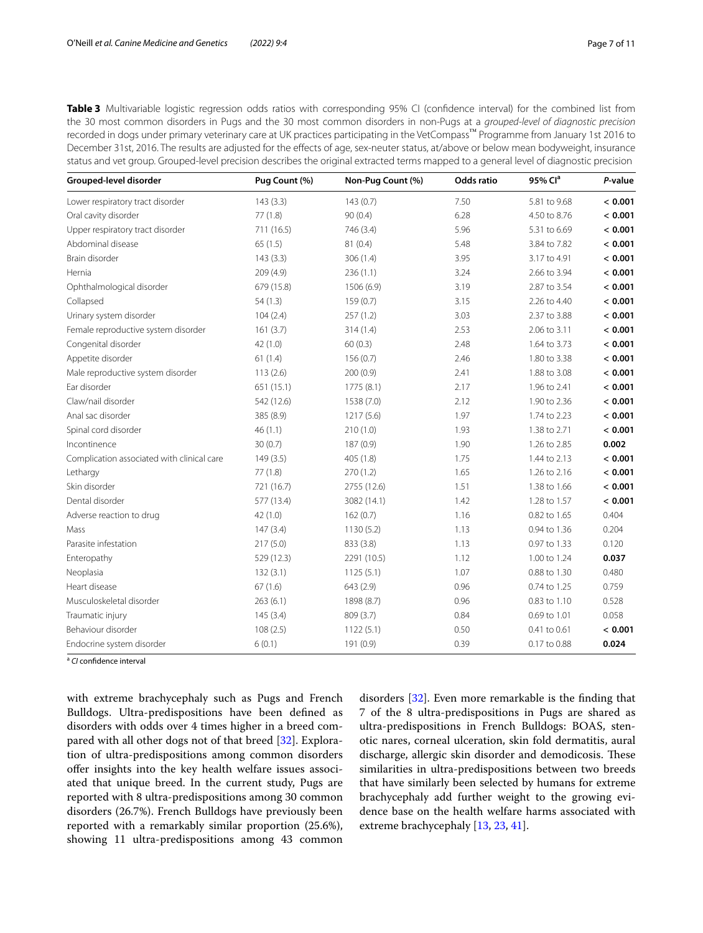<span id="page-6-0"></span>**Table 3** Multivariable logistic regression odds ratios with corresponding 95% CI (confidence interval) for the combined list from the 30 most common disorders in Pugs and the 30 most common disorders in non-Pugs at a *grouped-level of diagnostic precision* recorded in dogs under primary veterinary care at UK practices participating in the VetCompass™ Programme from January 1st 2016 to December 31st, 2016. The results are adjusted for the efects of age, sex-neuter status, at/above or below mean bodyweight, insurance status and vet group. Grouped-level precision describes the original extracted terms mapped to a general level of diagnostic precision

| Grouped-level disorder                     | Pug Count (%) | Non-Pug Count (%) | Odds ratio | 95% Cl <sup>a</sup> | P-value |
|--------------------------------------------|---------------|-------------------|------------|---------------------|---------|
| Lower respiratory tract disorder           | 143(3.3)      | 143(0.7)          | 7.50       | 5.81 to 9.68        | < 0.001 |
| Oral cavity disorder                       | 77(1.8)       | 90(0.4)           | 6.28       | 4.50 to 8.76        | < 0.001 |
| Upper respiratory tract disorder           | 711 (16.5)    | 746 (3.4)         | 5.96       | 5.31 to 6.69        | < 0.001 |
| Abdominal disease                          | 65(1.5)       | 81 (0.4)          | 5.48       | 3.84 to 7.82        | < 0.001 |
| Brain disorder                             | 143(3.3)      | 306 (1.4)         | 3.95       | 3.17 to 4.91        | < 0.001 |
| Hernia                                     | 209 (4.9)     | 236(1.1)          | 3.24       | 2.66 to 3.94        | < 0.001 |
| Ophthalmological disorder                  | 679 (15.8)    | 1506 (6.9)        | 3.19       | 2.87 to 3.54        | < 0.001 |
| Collapsed                                  | 54(1.3)       | 159(0.7)          | 3.15       | 2.26 to 4.40        | < 0.001 |
| Urinary system disorder                    | 104(2.4)      | 257(1.2)          | 3.03       | 2.37 to 3.88        | < 0.001 |
| Female reproductive system disorder        | 161(3.7)      | 314(1.4)          | 2.53       | 2.06 to 3.11        | < 0.001 |
| Congenital disorder                        | 42 (1.0)      | 60(0.3)           | 2.48       | 1.64 to 3.73        | < 0.001 |
| Appetite disorder                          | 61(1.4)       | 156(0.7)          | 2.46       | 1.80 to 3.38        | < 0.001 |
| Male reproductive system disorder          | 113(2.6)      | 200(0.9)          | 2.41       | 1.88 to 3.08        | < 0.001 |
| Ear disorder                               | 651 (15.1)    | 1775 (8.1)        | 2.17       | 1.96 to 2.41        | < 0.001 |
| Claw/nail disorder                         | 542 (12.6)    | 1538 (7.0)        | 2.12       | 1.90 to 2.36        | < 0.001 |
| Anal sac disorder                          | 385 (8.9)     | 1217 (5.6)        | 1.97       | 1.74 to 2.23        | < 0.001 |
| Spinal cord disorder                       | 46(1.1)       | 210(1.0)          | 1.93       | 1.38 to 2.71        | < 0.001 |
| Incontinence                               | 30(0.7)       | 187(0.9)          | 1.90       | 1.26 to 2.85        | 0.002   |
| Complication associated with clinical care | 149(3.5)      | 405 (1.8)         | 1.75       | 1.44 to 2.13        | < 0.001 |
| Lethargy                                   | 77(1.8)       | 270(1.2)          | 1.65       | 1.26 to 2.16        | < 0.001 |
| Skin disorder                              | 721 (16.7)    | 2755 (12.6)       | 1.51       | 1.38 to 1.66        | < 0.001 |
| Dental disorder                            | 577 (13.4)    | 3082 (14.1)       | 1.42       | 1.28 to 1.57        | < 0.001 |
| Adverse reaction to drug                   | 42 (1.0)      | 162(0.7)          | 1.16       | 0.82 to 1.65        | 0.404   |
| Mass                                       | 147(3.4)      | 1130(5.2)         | 1.13       | 0.94 to 1.36        | 0.204   |
| Parasite infestation                       | 217(5.0)      | 833 (3.8)         | 1.13       | 0.97 to 1.33        | 0.120   |
| Enteropathy                                | 529 (12.3)    | 2291 (10.5)       | 1.12       | 1.00 to 1.24        | 0.037   |
| Neoplasia                                  | 132(3.1)      | 1125(5.1)         | 1.07       | 0.88 to 1.30        | 0.480   |
| Heart disease                              | 67(1.6)       | 643 (2.9)         | 0.96       | 0.74 to 1.25        | 0.759   |
| Musculoskeletal disorder                   | 263(6.1)      | 1898 (8.7)        | 0.96       | 0.83 to 1.10        | 0.528   |
| Traumatic injury                           | 145(3.4)      | 809 (3.7)         | 0.84       | 0.69 to 1.01        | 0.058   |
| Behaviour disorder                         | 108(2.5)      | 1122(5.1)         | 0.50       | 0.41 to 0.61        | < 0.001 |
| Endocrine system disorder                  | 6(0.1)        | 191 (0.9)         | 0.39       | 0.17 to 0.88        | 0.024   |

<sup>a</sup> *CI* confdence interval

with extreme brachycephaly such as Pugs and French Bulldogs. Ultra-predispositions have been defned as disorders with odds over 4 times higher in a breed compared with all other dogs not of that breed [\[32](#page-9-29)]. Exploration of ultra-predispositions among common disorders ofer insights into the key health welfare issues associated that unique breed. In the current study, Pugs are reported with 8 ultra-predispositions among 30 common disorders (26.7%). French Bulldogs have previously been reported with a remarkably similar proportion (25.6%), showing 11 ultra-predispositions among 43 common

disorders [\[32\]](#page-9-29). Even more remarkable is the fnding that 7 of the 8 ultra-predispositions in Pugs are shared as ultra-predispositions in French Bulldogs: BOAS, stenotic nares, corneal ulceration, skin fold dermatitis, aural discharge, allergic skin disorder and demodicosis. These similarities in ultra-predispositions between two breeds that have similarly been selected by humans for extreme brachycephaly add further weight to the growing evidence base on the health welfare harms associated with extreme brachycephaly [\[13](#page-9-9), [23](#page-9-19), [41\]](#page-10-8).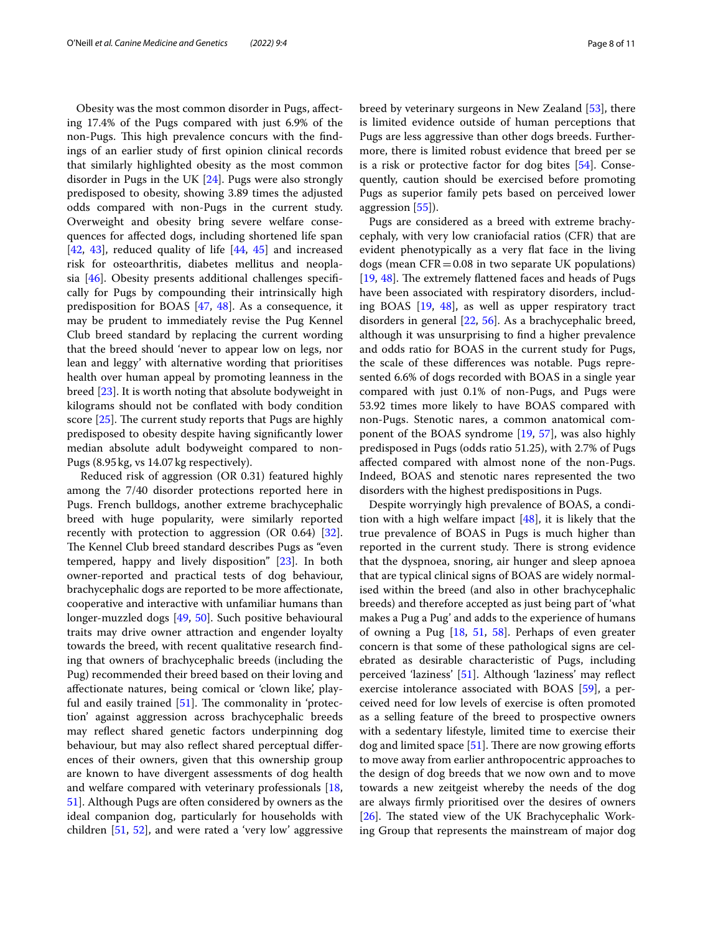Obesity was the most common disorder in Pugs, afecting 17.4% of the Pugs compared with just 6.9% of the non-Pugs. This high prevalence concurs with the findings of an earlier study of frst opinion clinical records that similarly highlighted obesity as the most common disorder in Pugs in the UK [[24\]](#page-9-20). Pugs were also strongly predisposed to obesity, showing 3.89 times the adjusted odds compared with non-Pugs in the current study. Overweight and obesity bring severe welfare consequences for afected dogs, including shortened life span  $[42, 43]$  $[42, 43]$  $[42, 43]$  $[42, 43]$  $[42, 43]$ , reduced quality of life  $[44, 45]$  $[44, 45]$  $[44, 45]$  $[44, 45]$  and increased risk for osteoarthritis, diabetes mellitus and neoplasia [[46\]](#page-10-13). Obesity presents additional challenges specifcally for Pugs by compounding their intrinsically high predisposition for BOAS [[47,](#page-10-14) [48\]](#page-10-15). As a consequence, it may be prudent to immediately revise the Pug Kennel Club breed standard by replacing the current wording that the breed should 'never to appear low on legs, nor lean and leggy' with alternative wording that prioritises health over human appeal by promoting leanness in the breed [[23](#page-9-19)]. It is worth noting that absolute bodyweight in kilograms should not be confated with body condition score  $[25]$  $[25]$ . The current study reports that Pugs are highly predisposed to obesity despite having signifcantly lower median absolute adult bodyweight compared to non-Pugs (8.95kg, vs 14.07kg respectively).

 Reduced risk of aggression (OR 0.31) featured highly among the 7/40 disorder protections reported here in Pugs. French bulldogs, another extreme brachycephalic breed with huge popularity, were similarly reported recently with protection to aggression (OR 0.64) [\[32](#page-9-29)]. The Kennel Club breed standard describes Pugs as "even tempered, happy and lively disposition" [\[23\]](#page-9-19). In both owner-reported and practical tests of dog behaviour, brachycephalic dogs are reported to be more afectionate, cooperative and interactive with unfamiliar humans than longer-muzzled dogs [[49,](#page-10-16) [50](#page-10-17)]. Such positive behavioural traits may drive owner attraction and engender loyalty towards the breed, with recent qualitative research fnding that owners of brachycephalic breeds (including the Pug) recommended their breed based on their loving and afectionate natures, being comical or 'clown like', playful and easily trained  $[51]$ . The commonality in 'protection' against aggression across brachycephalic breeds may refect shared genetic factors underpinning dog behaviour, but may also refect shared perceptual diferences of their owners, given that this ownership group are known to have divergent assessments of dog health and welfare compared with veterinary professionals [\[18](#page-9-14), [51\]](#page-10-18). Although Pugs are often considered by owners as the ideal companion dog, particularly for households with children [\[51](#page-10-18), [52\]](#page-10-19), and were rated a 'very low' aggressive breed by veterinary surgeons in New Zealand [\[53](#page-10-20)], there is limited evidence outside of human perceptions that Pugs are less aggressive than other dogs breeds. Furthermore, there is limited robust evidence that breed per se is a risk or protective factor for dog bites [\[54\]](#page-10-21). Consequently, caution should be exercised before promoting Pugs as superior family pets based on perceived lower aggression [\[55](#page-10-22)]).

Pugs are considered as a breed with extreme brachycephaly, with very low craniofacial ratios (CFR) that are evident phenotypically as a very fat face in the living dogs (mean  $CFR = 0.08$  in two separate UK populations)  $[19, 48]$  $[19, 48]$  $[19, 48]$  $[19, 48]$ . The extremely flattened faces and heads of Pugs have been associated with respiratory disorders, including BOAS [\[19](#page-9-15), [48\]](#page-10-15), as well as upper respiratory tract disorders in general [\[22](#page-9-18), [56](#page-10-23)]. As a brachycephalic breed, although it was unsurprising to fnd a higher prevalence and odds ratio for BOAS in the current study for Pugs, the scale of these diferences was notable. Pugs represented 6.6% of dogs recorded with BOAS in a single year compared with just 0.1% of non-Pugs, and Pugs were 53.92 times more likely to have BOAS compared with non-Pugs. Stenotic nares, a common anatomical component of the BOAS syndrome [\[19](#page-9-15), [57\]](#page-10-24), was also highly predisposed in Pugs (odds ratio 51.25), with 2.7% of Pugs afected compared with almost none of the non-Pugs. Indeed, BOAS and stenotic nares represented the two disorders with the highest predispositions in Pugs.

Despite worryingly high prevalence of BOAS, a condition with a high welfare impact  $[48]$  $[48]$ , it is likely that the true prevalence of BOAS in Pugs is much higher than reported in the current study. There is strong evidence that the dyspnoea, snoring, air hunger and sleep apnoea that are typical clinical signs of BOAS are widely normalised within the breed (and also in other brachycephalic breeds) and therefore accepted as just being part of 'what makes a Pug a Pug' and adds to the experience of humans of owning a Pug [\[18](#page-9-14), [51,](#page-10-18) [58](#page-10-25)]. Perhaps of even greater concern is that some of these pathological signs are celebrated as desirable characteristic of Pugs, including perceived 'laziness' [[51\]](#page-10-18). Although 'laziness' may refect exercise intolerance associated with BOAS [[59](#page-10-26)], a perceived need for low levels of exercise is often promoted as a selling feature of the breed to prospective owners with a sedentary lifestyle, limited time to exercise their  $\log$  and limited space [[51\]](#page-10-18). There are now growing efforts to move away from earlier anthropocentric approaches to the design of dog breeds that we now own and to move towards a new zeitgeist whereby the needs of the dog are always frmly prioritised over the desires of owners [[26\]](#page-9-23). The stated view of the UK Brachycephalic Working Group that represents the mainstream of major dog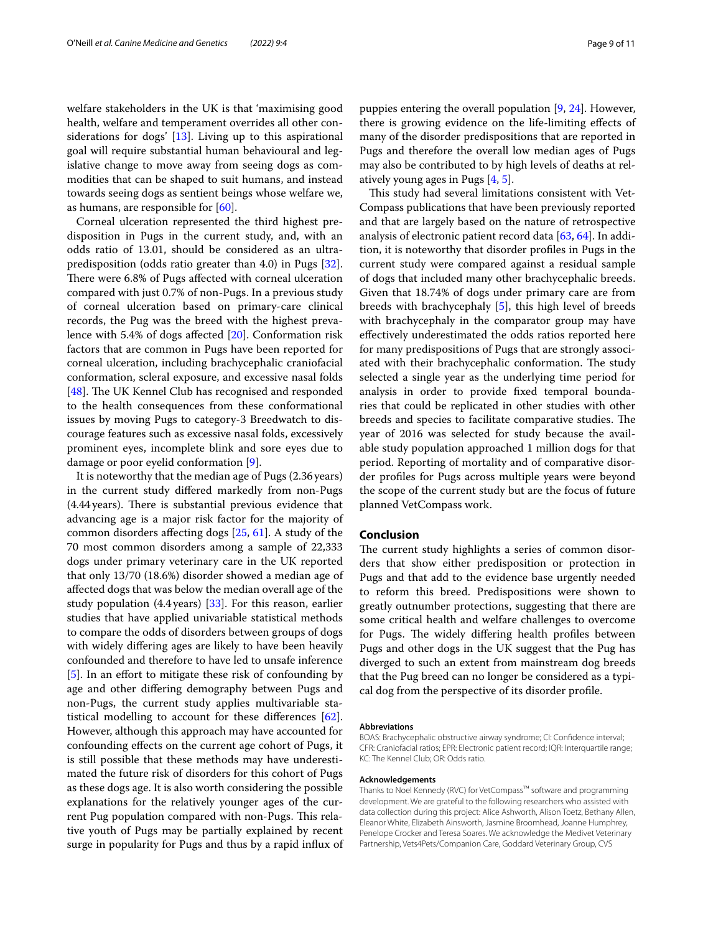welfare stakeholders in the UK is that 'maximising good health, welfare and temperament overrides all other considerations for dogs' [[13\]](#page-9-9). Living up to this aspirational goal will require substantial human behavioural and legislative change to move away from seeing dogs as commodities that can be shaped to suit humans, and instead towards seeing dogs as sentient beings whose welfare we, as humans, are responsible for [[60\]](#page-10-27).

Corneal ulceration represented the third highest predisposition in Pugs in the current study, and, with an odds ratio of 13.01, should be considered as an ultrapredisposition (odds ratio greater than 4.0) in Pugs [\[32](#page-9-29)]. There were 6.8% of Pugs affected with corneal ulceration compared with just 0.7% of non-Pugs. In a previous study of corneal ulceration based on primary-care clinical records, the Pug was the breed with the highest prevalence with 5.4% of dogs afected [[20\]](#page-9-16). Conformation risk factors that are common in Pugs have been reported for corneal ulceration, including brachycephalic craniofacial conformation, scleral exposure, and excessive nasal folds [ $48$ ]. The UK Kennel Club has recognised and responded to the health consequences from these conformational issues by moving Pugs to category-3 Breedwatch to discourage features such as excessive nasal folds, excessively prominent eyes, incomplete blink and sore eyes due to damage or poor eyelid conformation [\[9](#page-9-5)].

It is noteworthy that the median age of Pugs (2.36years) in the current study difered markedly from non-Pugs  $(4.44 \, \text{years})$ . There is substantial previous evidence that advancing age is a major risk factor for the majority of common disorders afecting dogs [[25](#page-9-21), [61](#page-10-28)]. A study of the 70 most common disorders among a sample of 22,333 dogs under primary veterinary care in the UK reported that only 13/70 (18.6%) disorder showed a median age of afected dogs that was below the median overall age of the study population (4.4years) [\[33](#page-10-0)]. For this reason, earlier studies that have applied univariable statistical methods to compare the odds of disorders between groups of dogs with widely difering ages are likely to have been heavily confounded and therefore to have led to unsafe inference [[5\]](#page-9-3). In an effort to mitigate these risk of confounding by age and other difering demography between Pugs and non-Pugs, the current study applies multivariable statistical modelling to account for these differences  $[62]$  $[62]$ . However, although this approach may have accounted for confounding efects on the current age cohort of Pugs, it is still possible that these methods may have underestimated the future risk of disorders for this cohort of Pugs as these dogs age. It is also worth considering the possible explanations for the relatively younger ages of the current Pug population compared with non-Pugs. This relative youth of Pugs may be partially explained by recent surge in popularity for Pugs and thus by a rapid infux of puppies entering the overall population [\[9](#page-9-5), [24](#page-9-20)]. However, there is growing evidence on the life-limiting efects of many of the disorder predispositions that are reported in Pugs and therefore the overall low median ages of Pugs may also be contributed to by high levels of deaths at relatively young ages in Pugs [[4,](#page-9-22) [5](#page-9-3)].

This study had several limitations consistent with Vet-Compass publications that have been previously reported and that are largely based on the nature of retrospective analysis of electronic patient record data [[63](#page-10-30), [64\]](#page-10-31). In addition, it is noteworthy that disorder profles in Pugs in the current study were compared against a residual sample of dogs that included many other brachycephalic breeds. Given that 18.74% of dogs under primary care are from breeds with brachycephaly [[5\]](#page-9-3), this high level of breeds with brachycephaly in the comparator group may have efectively underestimated the odds ratios reported here for many predispositions of Pugs that are strongly associated with their brachycephalic conformation. The study selected a single year as the underlying time period for analysis in order to provide fxed temporal boundaries that could be replicated in other studies with other breeds and species to facilitate comparative studies. The year of 2016 was selected for study because the available study population approached 1 million dogs for that period. Reporting of mortality and of comparative disorder profles for Pugs across multiple years were beyond the scope of the current study but are the focus of future planned VetCompass work.

## **Conclusion**

The current study highlights a series of common disorders that show either predisposition or protection in Pugs and that add to the evidence base urgently needed to reform this breed. Predispositions were shown to greatly outnumber protections, suggesting that there are some critical health and welfare challenges to overcome for Pugs. The widely differing health profiles between Pugs and other dogs in the UK suggest that the Pug has diverged to such an extent from mainstream dog breeds that the Pug breed can no longer be considered as a typical dog from the perspective of its disorder profle.

#### **Abbreviations**

BOAS: Brachycephalic obstructive airway syndrome; CI: Confdence interval; CFR: Craniofacial ratios; EPR: Electronic patient record; IQR: Interquartile range; KC: The Kennel Club; OR: Odds ratio.

#### **Acknowledgements**

Thanks to Noel Kennedy (RVC) for VetCompass™ software and programming development. We are grateful to the following researchers who assisted with data collection during this project: Alice Ashworth, Alison Toetz, Bethany Allen, Eleanor White, Elizabeth Ainsworth, Jasmine Broomhead, Joanne Humphrey, Penelope Crocker and Teresa Soares. We acknowledge the Medivet Veterinary Partnership, Vets4Pets/Companion Care, Goddard Veterinary Group, CVS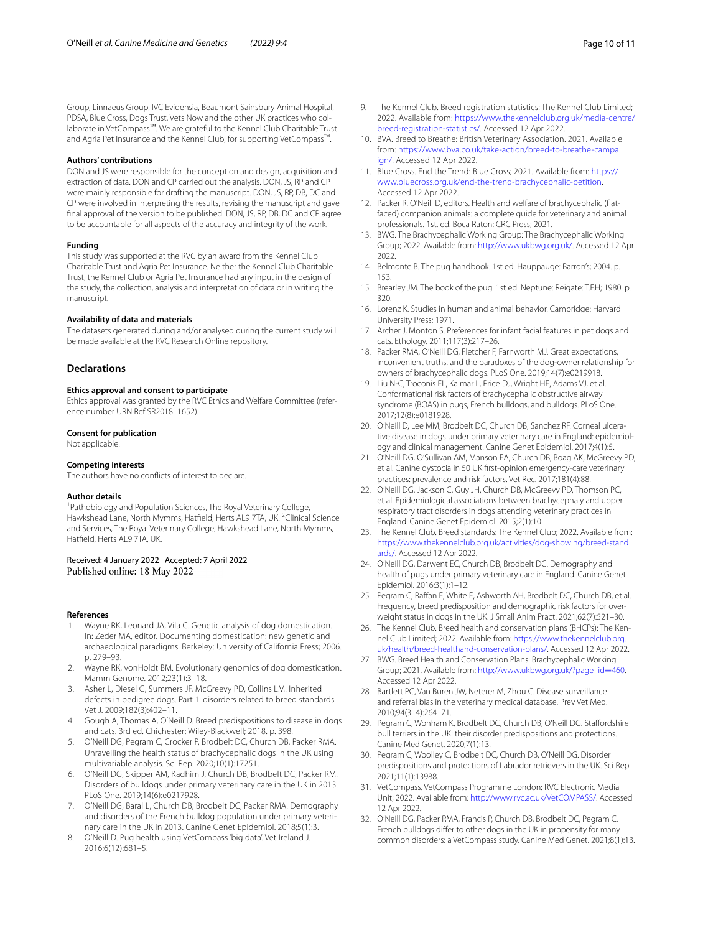Group, Linnaeus Group, IVC Evidensia, Beaumont Sainsbury Animal Hospital, PDSA, Blue Cross, Dogs Trust, Vets Now and the other UK practices who collaborate in VetCompass™. We are grateful to the Kennel Club Charitable Trust and Agria Pet Insurance and the Kennel Club, for supporting VetCompass™.

#### **Authors' contributions**

DON and JS were responsible for the conception and design, acquisition and extraction of data. DON and CP carried out the analysis. DON, JS, RP and CP were mainly responsible for drafting the manuscript. DON, JS, RP, DB, DC and CP were involved in interpreting the results, revising the manuscript and gave fnal approval of the version to be published. DON, JS, RP, DB, DC and CP agree to be accountable for all aspects of the accuracy and integrity of the work.

#### **Funding**

This study was supported at the RVC by an award from the Kennel Club Charitable Trust and Agria Pet Insurance. Neither the Kennel Club Charitable Trust, the Kennel Club or Agria Pet Insurance had any input in the design of the study, the collection, analysis and interpretation of data or in writing the manuscript.

#### **Availability of data and materials**

The datasets generated during and/or analysed during the current study will be made available at the RVC Research Online repository.

## **Declarations**

#### **Ethics approval and consent to participate**

Ethics approval was granted by the RVC Ethics and Welfare Committee (reference number URN Ref SR2018–1652).

#### **Consent for publication**

Not applicable.

#### **Competing interests**

The authors have no conficts of interest to declare.

#### **Author details**

<sup>1</sup> Pathobiology and Population Sciences, The Royal Veterinary College, Hawkshead Lane, North Mymms, Hatfield, Herts AL9 7TA, UK.<sup>2</sup> Clinical Science and Services, The Royal Veterinary College, Hawkshead Lane, North Mymms, Hatfeld, Herts AL9 7TA, UK.

### Received: 4 January 2022 Accepted: 7 April 2022 Published online: 18 May 2022

#### **References**

- <span id="page-9-0"></span>1. Wayne RK, Leonard JA, Vila C. Genetic analysis of dog domestication. In: Zeder MA, editor. Documenting domestication: new genetic and archaeological paradigms. Berkeley: University of California Press; 2006. p. 279–93.
- <span id="page-9-1"></span>2. Wayne RK, vonHoldt BM. Evolutionary genomics of dog domestication. Mamm Genome. 2012;23(1):3–18.
- <span id="page-9-2"></span>3. Asher L, Diesel G, Summers JF, McGreevy PD, Collins LM. Inherited defects in pedigree dogs. Part 1: disorders related to breed standards. Vet J. 2009;182(3):402–11.
- <span id="page-9-22"></span>4. Gough A, Thomas A, O'Neill D. Breed predispositions to disease in dogs and cats. 3rd ed. Chichester: Wiley-Blackwell; 2018. p. 398.
- <span id="page-9-3"></span>5. O'Neill DG, Pegram C, Crocker P, Brodbelt DC, Church DB, Packer RMA. Unravelling the health status of brachycephalic dogs in the UK using multivariable analysis. Sci Rep. 2020;10(1):17251.
- <span id="page-9-4"></span>6. O'Neill DG, Skipper AM, Kadhim J, Church DB, Brodbelt DC, Packer RM. Disorders of bulldogs under primary veterinary care in the UK in 2013. PLoS One. 2019;14(6):e0217928.
- 7. O'Neill DG, Baral L, Church DB, Brodbelt DC, Packer RMA. Demography and disorders of the French bulldog population under primary veterinary care in the UK in 2013. Canine Genet Epidemiol. 2018;5(1):3.
- 8. O'Neill D. Pug health using VetCompass 'big data'. Vet Ireland J. 2016;6(12):681–5.
- <span id="page-9-5"></span>9. The Kennel Club. Breed registration statistics: The Kennel Club Limited; 2022. Available from: [https://www.thekennelclub.org.uk/media-centre/](https://www.thekennelclub.org.uk/media-centre/breed-registration-statistics/) [breed-registration-statistics/.](https://www.thekennelclub.org.uk/media-centre/breed-registration-statistics/) Accessed 12 Apr 2022.
- <span id="page-9-6"></span>10. BVA. Breed to Breathe: British Veterinary Association. 2021. Available from: [https://www.bva.co.uk/take-action/breed-to-breathe-campa](https://www.bva.co.uk/take-action/breed-to-breathe-campaign/) [ign/](https://www.bva.co.uk/take-action/breed-to-breathe-campaign/). Accessed 12 Apr 2022.
- <span id="page-9-7"></span>11. Blue Cross. End the Trend: Blue Cross; 2021. Available from: [https://](https://www.bluecross.org.uk/end-the-trend-brachycephalic-petition) [www.bluecross.org.uk/end-the-trend-brachycephalic-petition](https://www.bluecross.org.uk/end-the-trend-brachycephalic-petition). Accessed 12 Apr 2022.
- <span id="page-9-8"></span>12. Packer R, O'Neill D, editors. Health and welfare of brachycephalic (fatfaced) companion animals: a complete guide for veterinary and animal professionals. 1st. ed. Boca Raton: CRC Press; 2021.
- <span id="page-9-9"></span>13. BWG. The Brachycephalic Working Group: The Brachycephalic Working Group; 2022. Available from:<http://www.ukbwg.org.uk/>. Accessed 12 Apr 2022.
- <span id="page-9-10"></span>14. Belmonte B. The pug handbook. 1st ed. Hauppauge: Barron's; 2004. p. 153.
- <span id="page-9-11"></span>15. Brearley JM. The book of the pug. 1st ed. Neptune: Reigate: T.F.H; 1980. p. 320.
- <span id="page-9-12"></span>16. Lorenz K. Studies in human and animal behavior. Cambridge: Harvard University Press; 1971.
- <span id="page-9-13"></span>17. Archer J, Monton S. Preferences for infant facial features in pet dogs and cats. Ethology. 2011;117(3):217–26.
- <span id="page-9-14"></span>18. Packer RMA, O'Neill DG, Fletcher F, Farnworth MJ. Great expectations, inconvenient truths, and the paradoxes of the dog-owner relationship for owners of brachycephalic dogs. PLoS One. 2019;14(7):e0219918.
- <span id="page-9-15"></span>19. Liu N-C, Troconis EL, Kalmar L, Price DJ, Wright HE, Adams VJ, et al. Conformational risk factors of brachycephalic obstructive airway syndrome (BOAS) in pugs, French bulldogs, and bulldogs. PLoS One. 2017;12(8):e0181928.
- <span id="page-9-16"></span>20. O'Neill D, Lee MM, Brodbelt DC, Church DB, Sanchez RF. Corneal ulcerative disease in dogs under primary veterinary care in England: epidemiology and clinical management. Canine Genet Epidemiol. 2017;4(1):5.
- <span id="page-9-17"></span>21. O'Neill DG, O'Sullivan AM, Manson EA, Church DB, Boag AK, McGreevy PD, et al. Canine dystocia in 50 UK frst-opinion emergency-care veterinary practices: prevalence and risk factors. Vet Rec. 2017;181(4):88.
- <span id="page-9-18"></span>22. O'Neill DG, Jackson C, Guy JH, Church DB, McGreevy PD, Thomson PC, et al. Epidemiological associations between brachycephaly and upper respiratory tract disorders in dogs attending veterinary practices in England. Canine Genet Epidemiol. 2015;2(1):10.
- <span id="page-9-19"></span>23. The Kennel Club. Breed standards: The Kennel Club; 2022. Available from: [https://www.thekennelclub.org.uk/activities/dog-showing/breed-stand](https://www.thekennelclub.org.uk/activities/dog-showing/breed-standards/) [ards/.](https://www.thekennelclub.org.uk/activities/dog-showing/breed-standards/) Accessed 12 Apr 2022.
- <span id="page-9-20"></span>24. O'Neill DG, Darwent EC, Church DB, Brodbelt DC. Demography and health of pugs under primary veterinary care in England. Canine Genet Epidemiol. 2016;3(1):1–12.
- <span id="page-9-21"></span>25. Pegram C, Raffan E, White E, Ashworth AH, Brodbelt DC, Church DB, et al. Frequency, breed predisposition and demographic risk factors for overweight status in dogs in the UK. J Small Anim Pract. 2021;62(7):521–30.
- <span id="page-9-23"></span>26. The Kennel Club. Breed health and conservation plans (BHCPs): The Kennel Club Limited; 2022. Available from: [https://www.thekennelclub.org.](https://www.thekennelclub.org.uk/health/breed-healthand-conservation-plans/) [uk/health/breed-healthand-conservation-plans/.](https://www.thekennelclub.org.uk/health/breed-healthand-conservation-plans/) Accessed 12 Apr 2022.
- <span id="page-9-24"></span>27. BWG. Breed Health and Conservation Plans: Brachycephalic Working Group; 2021. Available from: [http://www.ukbwg.org.uk/?page\\_id](http://www.ukbwg.org.uk/?page_id=460)=460. Accessed 12 Apr 2022.
- <span id="page-9-25"></span>28. Bartlett PC, Van Buren JW, Neterer M, Zhou C. Disease surveillance and referral bias in the veterinary medical database. Prev Vet Med. 2010;94(3–4):264–71.
- <span id="page-9-26"></span>29. Pegram C, Wonham K, Brodbelt DC, Church DB, O'Neill DG. Staffordshire bull terriers in the UK: their disorder predispositions and protections. Canine Med Genet. 2020;7(1):13.
- <span id="page-9-27"></span>30. Pegram C, Woolley C, Brodbelt DC, Church DB, O'Neill DG. Disorder predispositions and protections of Labrador retrievers in the UK. Sci Rep. 2021;11(1):13988.
- <span id="page-9-28"></span>31. VetCompass. VetCompass Programme London: RVC Electronic Media Unit; 2022. Available from: <http://www.rvc.ac.uk/VetCOMPASS/>. Accessed 12 Apr 2022.
- <span id="page-9-29"></span>32. O'Neill DG, Packer RMA, Francis P, Church DB, Brodbelt DC, Pegram C. French bulldogs differ to other dogs in the UK in propensity for many common disorders: a VetCompass study. Canine Med Genet. 2021;8(1):13.